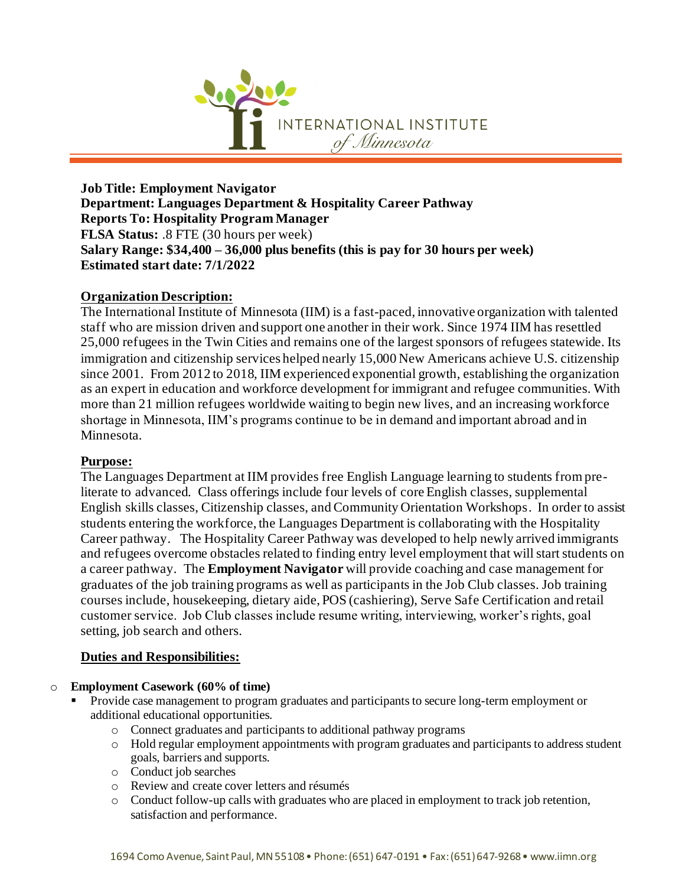

**Job Title: Employment Navigator Department: Languages Department & Hospitality Career Pathway Reports To: Hospitality Program Manager FLSA Status:** .8 FTE (30 hours per week) **Salary Range: \$34,400 – 36,000 plus benefits (this is pay for 30 hours per week) Estimated start date: 7/1/2022**

## **Organization Description:**

The International Institute of Minnesota (IIM) is a fast-paced, innovative organization with talented staff who are mission driven and support one another in their work. Since 1974 IIM has resettled 25,000 refugees in the Twin Cities and remains one of the largest sponsors of refugees statewide. Its immigration and citizenship services helped nearly 15,000 New Americans achieve U.S. citizenship since 2001. From 2012 to 2018, IIM experienced exponential growth, establishing the organization as an expert in education and workforce development for immigrant and refugee communities. With more than 21 million refugees worldwide waiting to begin new lives, and an increasing workforce shortage in Minnesota, IIM's programs continue to be in demand and important abroad and in Minnesota.

#### **Purpose:**

The Languages Department at IIM provides free English Language learning to students from preliterate to advanced. Class offerings include four levels of core English classes, supplemental English skills classes, Citizenship classes, and Community Orientation Workshops. In order to assist students entering the workforce, the Languages Department is collaborating with the Hospitality Career pathway. The Hospitality Career Pathway was developed to help newly arrived immigrants and refugees overcome obstacles related to finding entry level employment that will start students on a career pathway. The **Employment Navigator** will provide coaching and case management for graduates of the job training programs as well as participants in the Job Club classes. Job training courses include, housekeeping, dietary aide, POS (cashiering), Serve Safe Certification and retail customer service. Job Club classes include resume writing, interviewing, worker's rights, goal setting, job search and others.

## **Duties and Responsibilities:**

#### o **Employment Casework (60% of time)**

- Provide case management to program graduates and participants to secure long-term employment or additional educational opportunities.
	- o Connect graduates and participants to additional pathway programs
	- o Hold regular employment appointments with program graduates and participants to address student goals, barriers and supports.
	- o Conduct job searches
	- o Review and create cover letters and résumés
	- o Conduct follow-up calls with graduates who are placed in employment to track job retention, satisfaction and performance.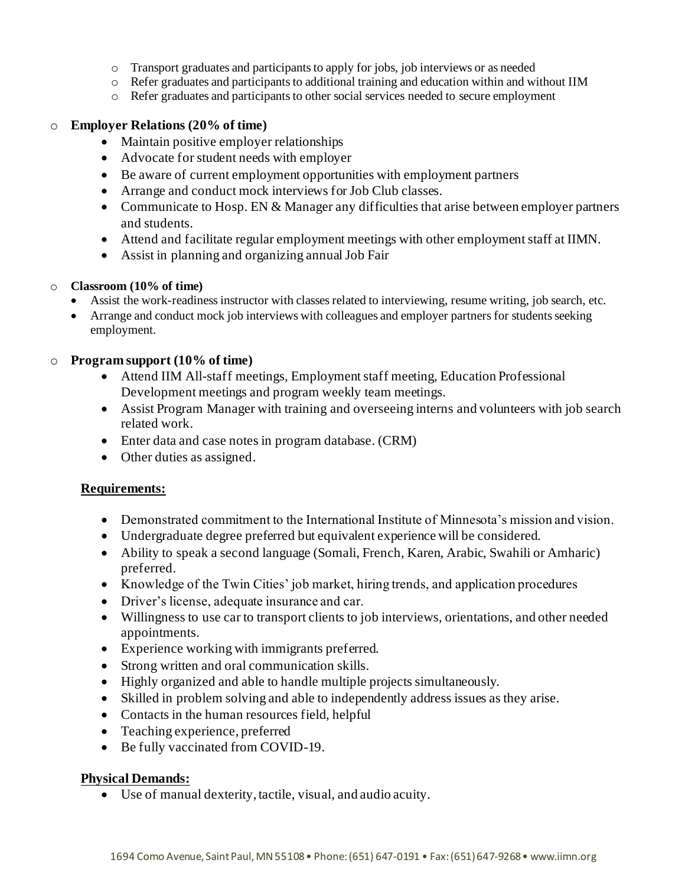- o Transport graduates and participants to apply for jobs, job interviews or as needed
- $\circ$  Refer graduates and participants to additional training and education within and without IIM
- o Refer graduates and participants to other social services needed to secure employment

#### o **Employer Relations (20% of time)**

- Maintain positive employer relationships
- Advocate for student needs with employer
- Be aware of current employment opportunities with employment partners
- Arrange and conduct mock interviews for Job Club classes.
- Communicate to Hosp. EN & Manager any difficulties that arise between employer partners and students.
- Attend and facilitate regular employment meetings with other employment staff at IIMN.
- Assist in planning and organizing annual Job Fair

#### o **Classroom (10% of time)**

- Assist the work-readiness instructor with classes related to interviewing, resume writing, job search, etc.
- Arrange and conduct mock job interviews with colleagues and employer partners for students seeking employment.

## o **Program support (10% of time)**

- Attend IIM All-staff meetings, Employment staff meeting, Education Professional Development meetings and program weekly team meetings.
- Assist Program Manager with training and overseeing interns and volunteers with job search related work.
- Enter data and case notes in program database. (CRM)
- Other duties as assigned.

## **Requirements:**

- Demonstrated commitment to the International Institute of Minnesota's mission and vision.
- Undergraduate degree preferred but equivalent experience will be considered.
- Ability to speak a second language (Somali, French, Karen, Arabic, Swahili or Amharic) preferred.
- Knowledge of the Twin Cities' job market, hiring trends, and application procedures
- Driver's license, adequate insurance and car.
- Willingness to use car to transport clients to job interviews, orientations, and other needed appointments.
- Experience working with immigrants preferred.
- Strong written and oral communication skills.
- Highly organized and able to handle multiple projects simultaneously.
- Skilled in problem solving and able to independently address issues as they arise.
- Contacts in the human resources field, helpful
- Teaching experience, preferred
- Be fully vaccinated from COVID-19.

## **Physical Demands:**

• Use of manual dexterity, tactile, visual, and audio acuity.